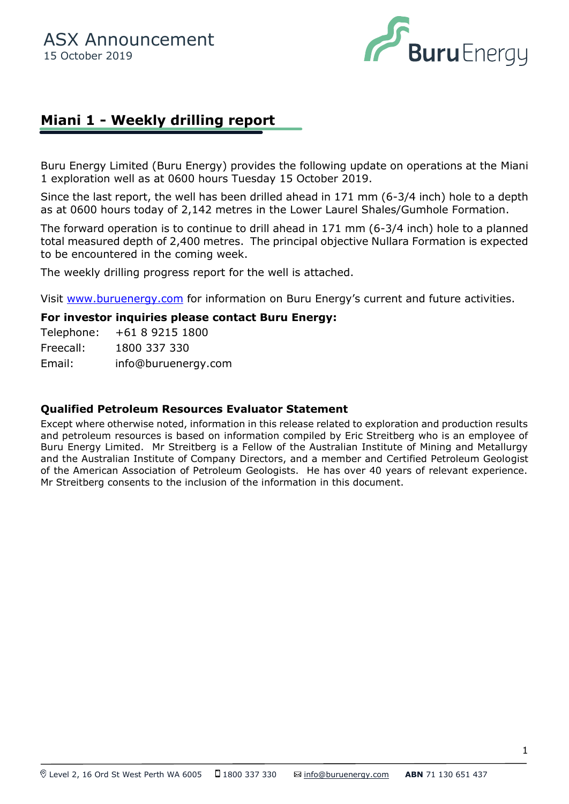

## **Miani 1 - Weekly drilling report**

Buru Energy Limited (Buru Energy) provides the following update on operations at the Miani 1 exploration well as at 0600 hours Tuesday 15 October 2019.

Since the last report, the well has been drilled ahead in 171 mm (6-3/4 inch) hole to a depth as at 0600 hours today of 2,142 metres in the Lower Laurel Shales/Gumhole Formation.

The forward operation is to continue to drill ahead in 171 mm (6-3/4 inch) hole to a planned total measured depth of 2,400 metres. The principal objective Nullara Formation is expected to be encountered in the coming week.

The weekly drilling progress report for the well is attached.

Visit [www.buruenergy.com](http://www.buruenergy.com/) for information on Buru Energy's current and future activities.

## **For investor inquiries please contact Buru Energy:**

Telephone: +61 8 9215 1800 Freecall: 1800 337 330 Email: [info@buruenergy.com](mailto:info@buruenergy.com)

## **Qualified Petroleum Resources Evaluator Statement**

Except where otherwise noted, information in this release related to exploration and production results and petroleum resources is based on information compiled by Eric Streitberg who is an employee of Buru Energy Limited. Mr Streitberg is a Fellow of the Australian Institute of Mining and Metallurgy and the Australian Institute of Company Directors, and a member and Certified Petroleum Geologist of the American Association of Petroleum Geologists. He has over 40 years of relevant experience. Mr Streitberg consents to the inclusion of the information in this document.